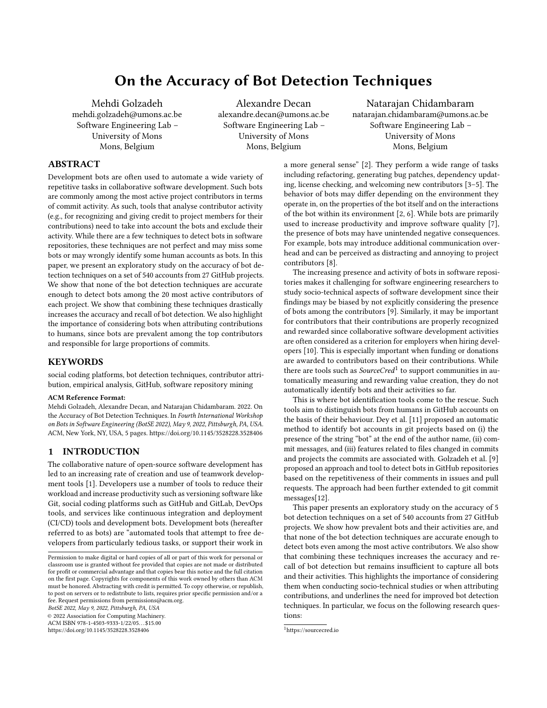# On the Accuracy of Bot Detection Techniques

[Mehdi Golzadeh](https://orcid.org/0000-0003-1041-439X) mehdi.golzadeh@umons.ac.be Software Engineering Lab – University of Mons Mons, Belgium

Alexandre Decan alexandre.decan@umons.ac.be Software Engineering Lab – University of Mons Mons, Belgium

Natarajan Chidambaram natarajan.chidambaram@umons.ac.be Software Engineering Lab – University of Mons Mons, Belgium

# ABSTRACT

Development bots are often used to automate a wide variety of repetitive tasks in collaborative software development. Such bots are commonly among the most active project contributors in terms of commit activity. As such, tools that analyse contributor activity (e.g., for recognizing and giving credit to project members for their contributions) need to take into account the bots and exclude their activity. While there are a few techniques to detect bots in software repositories, these techniques are not perfect and may miss some bots or may wrongly identify some human accounts as bots. In this paper, we present an exploratory study on the accuracy of bot detection techniques on a set of 540 accounts from 27 GitHub projects. We show that none of the bot detection techniques are accurate enough to detect bots among the 20 most active contributors of each project. We show that combining these techniques drastically increases the accuracy and recall of bot detection. We also highlight the importance of considering bots when attributing contributions to humans, since bots are prevalent among the top contributors and responsible for large proportions of commits.

## KEYWORDS

social coding platforms, bot detection techniques, contributor attribution, empirical analysis, GitHub, software repository mining

#### ACM Reference Format:

Mehdi Golzadeh, Alexandre Decan, and Natarajan Chidambaram. 2022. On the Accuracy of Bot Detection Techniques. In Fourth International Workshop on Bots in Software Engineering (BotSE 2022), May 9, 2022, Pittsburgh, PA, USA. ACM, New York, NY, USA, [5](#page-4-0) pages.<https://doi.org/10.1145/3528228.3528406>

## <span id="page-0-1"></span>1 INTRODUCTION

The collaborative nature of open-source software development has led to an increasing rate of creation and use of teamwork development tools [\[1\]](#page-4-1). Developers use a number of tools to reduce their workload and increase productivity such as versioning software like Git, social coding platforms such as GitHub and GitLab, DevOps tools, and services like continuous integration and deployment (CI/CD) tools and development bots. Development bots (hereafter referred to as bots) are "automated tools that attempt to free developers from particularly tedious tasks, or support their work in

BotSE 2022, May 9, 2022, Pittsburgh, PA, USA

© 2022 Association for Computing Machinery.

ACM ISBN 978-1-4503-9333-1/22/05. . . \$15.00 <https://doi.org/10.1145/3528228.3528406>

a more general sense" [\[2\]](#page-4-2). They perform a wide range of tasks including refactoring, generating bug patches, dependency updating, license checking, and welcoming new contributors [\[3–](#page-4-3)[5\]](#page-4-4). The behavior of bots may differ depending on the environment they operate in, on the properties of the bot itself and on the interactions of the bot within its environment [\[2,](#page-4-2) [6\]](#page-4-5). While bots are primarily used to increase productivity and improve software quality [\[7\]](#page-4-6), the presence of bots may have unintended negative consequences. For example, bots may introduce additional communication overhead and can be perceived as distracting and annoying to project contributors [\[8\]](#page-4-7).

The increasing presence and activity of bots in software repositories makes it challenging for software engineering researchers to study socio-technical aspects of software development since their findings may be biased by not explicitly considering the presence of bots among the contributors [\[9\]](#page-4-8). Similarly, it may be important for contributors that their contributions are properly recognized and rewarded since collaborative software development activities are often considered as a criterion for employers when hiring developers [\[10\]](#page-4-9). This is especially important when funding or donations are awarded to contributors based on their contributions. While there are tools such as  $SourceCred<sup>1</sup>$  $SourceCred<sup>1</sup>$  $SourceCred<sup>1</sup>$  to support communities in automatically measuring and rewarding value creation, they do not automatically identify bots and their activities so far.

This is where bot identification tools come to the rescue. Such tools aim to distinguish bots from humans in GitHub accounts on the basis of their behaviour. Dey et al. [\[11\]](#page-4-10) proposed an automatic method to identify bot accounts in git projects based on (i) the presence of the string "bot" at the end of the author name, (ii) commit messages, and (iii) features related to files changed in commits and projects the commits are associated with. Golzadeh et al. [\[9\]](#page-4-8) proposed an approach and tool to detect bots in GitHub repositories based on the repetitiveness of their comments in issues and pull requests. The approach had been further extended to git commit messages[\[12\]](#page-4-11).

This paper presents an exploratory study on the accuracy of 5 bot detection techniques on a set of 540 accounts from 27 GitHub projects. We show how prevalent bots and their activities are, and that none of the bot detection techniques are accurate enough to detect bots even among the most active contributors. We also show that combining these techniques increases the accuracy and recall of bot detection but remains insufficient to capture all bots and their activities. This highlights the importance of considering them when conducting socio-technical studies or when attributing contributions, and underlines the need for improved bot detection techniques. In particular, we focus on the following research questions:

<span id="page-0-0"></span><sup>1</sup><https://sourcecred.io>

Permission to make digital or hard copies of all or part of this work for personal or classroom use is granted without fee provided that copies are not made or distributed for profit or commercial advantage and that copies bear this notice and the full citation on the first page. Copyrights for components of this work owned by others than ACM must be honored. Abstracting with credit is permitted. To copy otherwise, or republish, to post on servers or to redistribute to lists, requires prior specific permission and/or a fee. Request permissions from permissions@acm.org.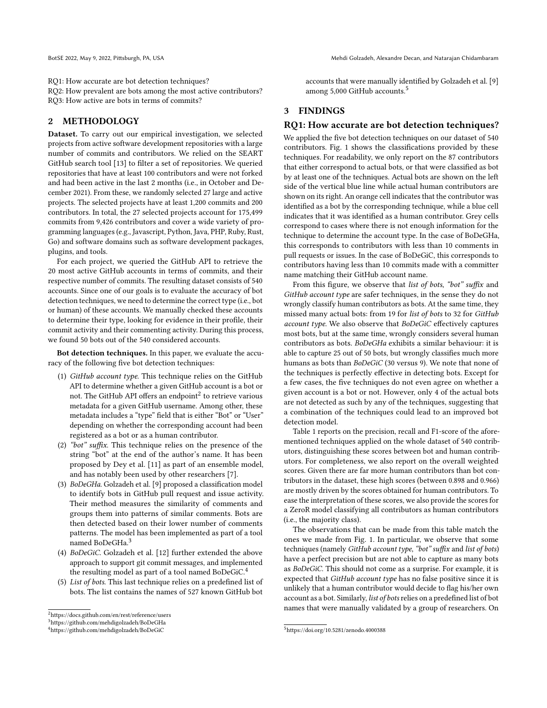RQ1: How accurate are bot detection techniques?

RQ2: How prevalent are bots among the most active contributors? RQ3: How active are bots in terms of commits?

## 2 METHODOLOGY

Dataset. To carry out our empirical investigation, we selected projects from active software development repositories with a large number of commits and contributors. We relied on the SEART GitHub search tool [\[13\]](#page-4-12) to filter a set of repositories. We queried repositories that have at least 100 contributors and were not forked and had been active in the last 2 months (i.e., in October and December 2021). From these, we randomly selected 27 large and active projects. The selected projects have at least 1,200 commits and 200 contributors. In total, the 27 selected projects account for 175,499 commits from 9,426 contributors and cover a wide variety of programming languages (e.g., Javascript, Python, Java, PHP, Ruby, Rust, Go) and software domains such as software development packages, plugins, and tools.

For each project, we queried the GitHub API to retrieve the 20 most active GitHub accounts in terms of commits, and their respective number of commits. The resulting dataset consists of 540 accounts. Since one of our goals is to evaluate the accuracy of bot detection techniques, we need to determine the correct type (i.e., bot or human) of these accounts. We manually checked these accounts to determine their type, looking for evidence in their profile, their commit activity and their commenting activity. During this process, we found 50 bots out of the 540 considered accounts.

Bot detection techniques. In this paper, we evaluate the accuracy of the following five bot detection techniques:

- (1) GitHub account type. This technique relies on the GitHub API to determine whether a given GitHub account is a bot or not. The GitHub API offers an endpoint $^2$  $^2$  to retrieve various metadata for a given GitHub username. Among other, these metadata includes a "type" field that is either "Bot" or "User" depending on whether the corresponding account had been registered as a bot or as a human contributor.
- (2) "bot" suffix. This technique relies on the presence of the string "bot" at the end of the author's name. It has been proposed by Dey et al. [\[11\]](#page-4-10) as part of an ensemble model, and has notably been used by other researchers [\[7\]](#page-4-6).
- (3) BoDeGHa. Golzadeh et al. [\[9\]](#page-4-8) proposed a classification model to identify bots in GitHub pull request and issue activity. Their method measures the similarity of comments and groups them into patterns of similar comments. Bots are then detected based on their lower number of comments patterns. The model has been implemented as part of a tool named BoDeGHa.[3](#page-1-1)
- (4) BoDeGiC. Golzadeh et al. [\[12\]](#page-4-11) further extended the above approach to support git commit messages, and implemented the resulting model as part of a tool named BoDeGiC.<sup>[4](#page-1-2)</sup>
- (5) List of bots. This last technique relies on a predefined list of bots. The list contains the names of 527 known GitHub bot

accounts that were manually identified by Golzadeh et al. [\[9\]](#page-4-8) among 5,000 GitHub accounts.[5](#page-1-3)

# 3 FINDINGS

### RQ1: How accurate are bot detection techniques?

We applied the five bot detection techniques on our dataset of 540 contributors. Fig. [1](#page-2-0) shows the classifications provided by these techniques. For readability, we only report on the 87 contributors that either correspond to actual bots, or that were classified as bot by at least one of the techniques. Actual bots are shown on the left side of the vertical blue line while actual human contributors are shown on its right. An orange cell indicates that the contributor was identified as a bot by the corresponding technique, while a blue cell indicates that it was identified as a human contributor. Grey cells correspond to cases where there is not enough information for the technique to determine the account type. In the case of BoDeGHa, this corresponds to contributors with less than 10 comments in pull requests or issues. In the case of BoDeGiC, this corresponds to contributors having less than 10 commits made with a committer name matching their GitHub account name.

From this figure, we observe that list of bots, "bot" suffix and GitHub account type are safer techniques, in the sense they do not wrongly classify human contributors as bots. At the same time, they missed many actual bots: from 19 for list of bots to 32 for GitHub account type. We also observe that BoDeGiC effectively captures most bots, but at the same time, wrongly considers several human contributors as bots. BoDeGHa exhibits a similar behaviour: it is able to capture 25 out of 50 bots, but wrongly classifies much more humans as bots than BoDeGiC (30 versus 9). We note that none of the techniques is perfectly effective in detecting bots. Except for a few cases, the five techniques do not even agree on whether a given account is a bot or not. However, only 4 of the actual bots are not detected as such by any of the techniques, suggesting that a combination of the techniques could lead to an improved bot detection model.

Table [1](#page-2-1) reports on the precision, recall and F1-score of the aforementioned techniques applied on the whole dataset of 540 contributors, distinguishing these scores between bot and human contributors. For completeness, we also report on the overall weighted scores. Given there are far more human contributors than bot contributors in the dataset, these high scores (between 0.898 and 0.966) are mostly driven by the scores obtained for human contributors. To ease the interpretation of these scores, we also provide the scores for a ZeroR model classifying all contributors as human contributors (i.e., the majority class).

The observations that can be made from this table match the ones we made from Fig. [1.](#page-2-0) In particular, we observe that some techniques (namely GitHub account type, "bot" suffix and list of bots) have a perfect precision but are not able to capture as many bots as BoDeGiC. This should not come as a surprise. For example, it is expected that GitHub account type has no false positive since it is unlikely that a human contributor would decide to flag his/her own account as a bot. Similarly, list of bots relies on a predefined list of bot names that were manually validated by a group of researchers. On

<span id="page-1-0"></span> $^2$ https://docs.github.com/en/rest/reference/users

<span id="page-1-1"></span><sup>3</sup><https://github.com/mehdigolzadeh/BoDeGHa>

<span id="page-1-2"></span><sup>4</sup><https://github.com/mehdigolzadeh/BoDeGiC>

<span id="page-1-3"></span><sup>5</sup>https://doi.org/10.5281/zenodo.4000388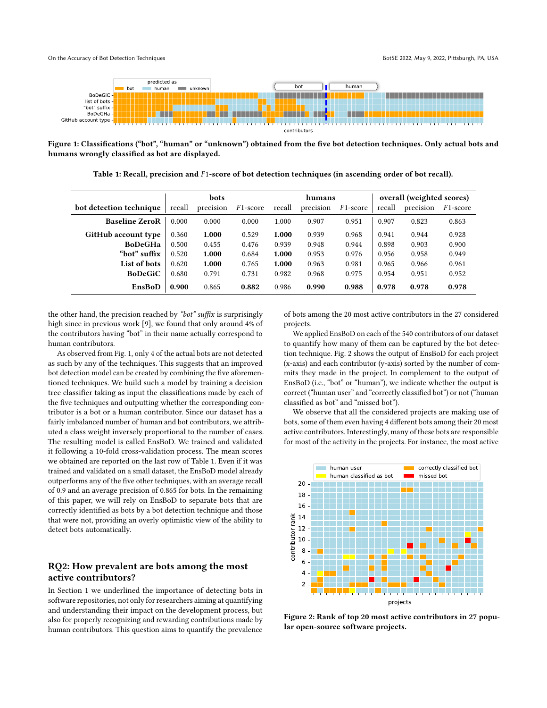<span id="page-2-0"></span>

<span id="page-2-1"></span>Figure 1: Classifications ("bot", "human" or "unknown") obtained from the five bot detection techniques. Only actual bots and humans wrongly classified as bot are displayed.

|                         | bots   |           |             | humans |           |             | overall (weighted scores) |           |             |
|-------------------------|--------|-----------|-------------|--------|-----------|-------------|---------------------------|-----------|-------------|
| bot detection technique | recall | precision | $F1$ -score | recall | precision | $F1$ -score | recall                    | precision | $F1$ -score |
| <b>Baseline ZeroR</b>   | 0.000  | 0.000     | 0.000       | 1.000  | 0.907     | 0.951       | 0.907                     | 0.823     | 0.863       |
| GitHub account type     | 0.360  | 1.000     | 0.529       | 1.000  | 0.939     | 0.968       | 0.941                     | 0.944     | 0.928       |
| <b>BoDeGHa</b>          | 0.500  | 0.455     | 0.476       | 0.939  | 0.948     | 0.944       | 0.898                     | 0.903     | 0.900       |
| "bot" suffix            | 0.520  | 1.000     | 0.684       | 1.000  | 0.953     | 0.976       | 0.956                     | 0.958     | 0.949       |
| List of bots            | 0.620  | 1.000     | 0.765       | 1.000  | 0.963     | 0.981       | 0.965                     | 0.966     | 0.961       |
| <b>BoDeGiC</b>          | 0.680  | 0.791     | 0.731       | 0.982  | 0.968     | 0.975       | 0.954                     | 0.951     | 0.952       |
| EnsBoD                  | 0.900  | 0.865     | 0.882       | 0.986  | 0.990     | 0.988       | 0.978                     | 0.978     | 0.978       |

Table 1: Recall, precision and F1-score of bot detection techniques (in ascending order of bot recall).

the other hand, the precision reached by "bot" suffix is surprisingly high since in previous work [\[9\]](#page-4-8), we found that only around 4% of the contributors having "bot" in their name actually correspond to human contributors.

As observed from Fig. [1,](#page-2-0) only 4 of the actual bots are not detected as such by any of the techniques. This suggests that an improved bot detection model can be created by combining the five aforementioned techniques. We build such a model by training a decision tree classifier taking as input the classifications made by each of the five techniques and outputting whether the corresponding contributor is a bot or a human contributor. Since our dataset has a fairly imbalanced number of human and bot contributors, we attributed a class weight inversely proportional to the number of cases. The resulting model is called EnsBoD. We trained and validated it following a 10-fold cross-validation process. The mean scores we obtained are reported on the last row of Table [1.](#page-2-1) Even if it was trained and validated on a small dataset, the EnsBoD model already outperforms any of the five other techniques, with an average recall of 0.9 and an average precision of 0.865 for bots. In the remaining of this paper, we will rely on EnsBoD to separate bots that are correctly identified as bots by a bot detection technique and those that were not, providing an overly optimistic view of the ability to detect bots automatically.

## RQ2: How prevalent are bots among the most active contributors?

In Section [1](#page-0-1) we underlined the importance of detecting bots in software repositories, not only for researchers aiming at quantifying and understanding their impact on the development process, but also for properly recognizing and rewarding contributions made by human contributors. This question aims to quantify the prevalence

of bots among the 20 most active contributors in the 27 considered projects.

We applied EnsBoD on each of the 540 contributors of our dataset to quantify how many of them can be captured by the bot detection technique. Fig. [2](#page-2-2) shows the output of EnsBoD for each project (x-axis) and each contributor (y-axis) sorted by the number of commits they made in the project. In complement to the output of EnsBoD (i.e., "bot" or "human"), we indicate whether the output is correct ("human user" and "correctly classified bot") or not ("human classified as bot" and "missed bot").

We observe that all the considered projects are making use of bots, some of them even having 4 different bots among their 20 most active contributors. Interestingly, many of these bots are responsible for most of the activity in the projects. For instance, the most active

<span id="page-2-2"></span>

Figure 2: Rank of top 20 most active contributors in 27 popular open-source software projects.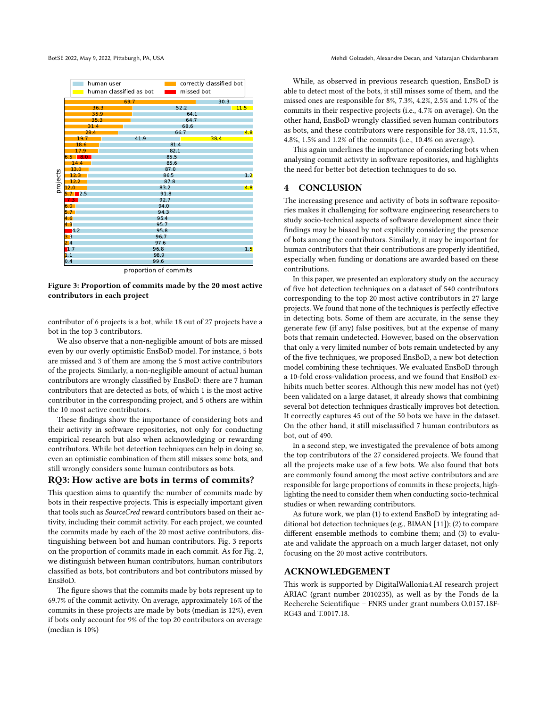<span id="page-3-0"></span>

Figure 3: Proportion of commits made by the 20 most active contributors in each project

contributor of 6 projects is a bot, while 18 out of 27 projects have a bot in the top 3 contributors.

We also observe that a non-negligible amount of bots are missed even by our overly optimistic EnsBoD model. For instance, 5 bots are missed and 3 of them are among the 5 most active contributors of the projects. Similarly, a non-negligible amount of actual human contributors are wrongly classified by EnsBoD: there are 7 human contributors that are detected as bots, of which 1 is the most active contributor in the corresponding project, and 5 others are within the 10 most active contributors.

These findings show the importance of considering bots and their activity in software repositories, not only for conducting empirical research but also when acknowledging or rewarding contributors. While bot detection techniques can help in doing so, even an optimistic combination of them still misses some bots, and still wrongly considers some human contributors as bots.

#### RQ3: How active are bots in terms of commits?

This question aims to quantify the number of commits made by bots in their respective projects. This is especially important given that tools such as SourceCred reward contributors based on their activity, including their commit activity. For each project, we counted the commits made by each of the 20 most active contributors, distinguishing between bot and human contributors. Fig. [3](#page-3-0) reports on the proportion of commits made in each commit. As for Fig. [2,](#page-2-2) we distinguish between human contributors, human contributors classified as bots, bot contributors and bot contributors missed by EnsBoD.

The figure shows that the commits made by bots represent up to 69.7% of the commit activity. On average, approximately 16% of the commits in these projects are made by bots (median is 12%), even if bots only account for 9% of the top 20 contributors on average (median is 10%)

While, as observed in previous research question, EnsBoD is able to detect most of the bots, it still misses some of them, and the missed ones are responsible for 8%, 7.3%, 4.2%, 2.5% and 1.7% of the commits in their respective projects (i.e., 4.7% on average). On the other hand, EnsBoD wrongly classified seven human contributors as bots, and these contributors were responsible for 38.4%, 11.5%, 4.8%, 1.5% and 1.2% of the commits (i.e., 10.4% on average).

This again underlines the importance of considering bots when analysing commit activity in software repositories, and highlights the need for better bot detection techniques to do so.

#### 4 CONCLUSION

The increasing presence and activity of bots in software repositories makes it challenging for software engineering researchers to study socio-technical aspects of software development since their findings may be biased by not explicitly considering the presence of bots among the contributors. Similarly, it may be important for human contributors that their contributions are properly identified, especially when funding or donations are awarded based on these contributions.

In this paper, we presented an exploratory study on the accuracy of five bot detection techniques on a dataset of 540 contributors corresponding to the top 20 most active contributors in 27 large projects. We found that none of the techniques is perfectly effective in detecting bots. Some of them are accurate, in the sense they generate few (if any) false positives, but at the expense of many bots that remain undetected. However, based on the observation that only a very limited number of bots remain undetected by any of the five techniques, we proposed EnsBoD, a new bot detection model combining these techniques. We evaluated EnsBoD through a 10-fold cross-validation process, and we found that EnsBoD exhibits much better scores. Although this new model has not (yet) been validated on a large dataset, it already shows that combining several bot detection techniques drastically improves bot detection. It correctly captures 45 out of the 50 bots we have in the dataset. On the other hand, it still misclassified 7 human contributors as bot, out of 490.

In a second step, we investigated the prevalence of bots among the top contributors of the 27 considered projects. We found that all the projects make use of a few bots. We also found that bots are commonly found among the most active contributors and are responsible for large proportions of commits in these projects, highlighting the need to consider them when conducting socio-technical studies or when rewarding contributors.

As future work, we plan (1) to extend EnsBoD by integrating additional bot detection techniques (e.g., BIMAN [\[11\]](#page-4-10)); (2) to compare different ensemble methods to combine them; and (3) to evaluate and validate the approach on a much larger dataset, not only focusing on the 20 most active contributors.

#### ACKNOWLEDGEMENT

This work is supported by DigitalWallonia4.AI research project ARIAC (grant number 2010235), as well as by the Fonds de la Recherche Scientifique – FNRS under grant numbers O.0157.18F-RG43 and T.0017.18.